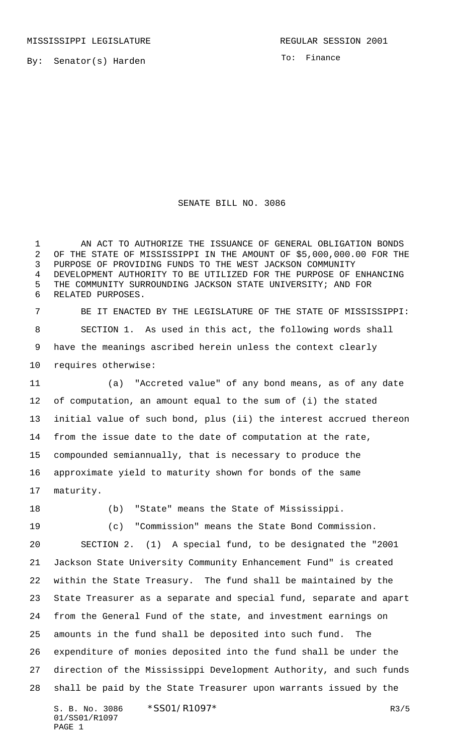To: Finance

## SENATE BILL NO. 3086

1 AN ACT TO AUTHORIZE THE ISSUANCE OF GENERAL OBLIGATION BONDS OF THE STATE OF MISSISSIPPI IN THE AMOUNT OF \$5,000,000.00 FOR THE PURPOSE OF PROVIDING FUNDS TO THE WEST JACKSON COMMUNITY DEVELOPMENT AUTHORITY TO BE UTILIZED FOR THE PURPOSE OF ENHANCING THE COMMUNITY SURROUNDING JACKSON STATE UNIVERSITY; AND FOR RELATED PURPOSES.

 BE IT ENACTED BY THE LEGISLATURE OF THE STATE OF MISSISSIPPI: SECTION 1. As used in this act, the following words shall have the meanings ascribed herein unless the context clearly requires otherwise:

 (a) "Accreted value" of any bond means, as of any date of computation, an amount equal to the sum of (i) the stated initial value of such bond, plus (ii) the interest accrued thereon from the issue date to the date of computation at the rate, compounded semiannually, that is necessary to produce the approximate yield to maturity shown for bonds of the same maturity.

(b) "State" means the State of Mississippi.

(c) "Commission" means the State Bond Commission.

 SECTION 2. (1) A special fund, to be designated the "2001 Jackson State University Community Enhancement Fund" is created within the State Treasury. The fund shall be maintained by the State Treasurer as a separate and special fund, separate and apart from the General Fund of the state, and investment earnings on amounts in the fund shall be deposited into such fund. The expenditure of monies deposited into the fund shall be under the direction of the Mississippi Development Authority, and such funds shall be paid by the State Treasurer upon warrants issued by the

S. B. No. 3086 \* SS01/R1097 \* The mass of the mass of the mass of the mass of the mass of the mass of the mass of the mass of the mass of the mass of the mass of the mass of the mass of the mass of the mass of the mass of 01/SS01/R1097 PAGE 1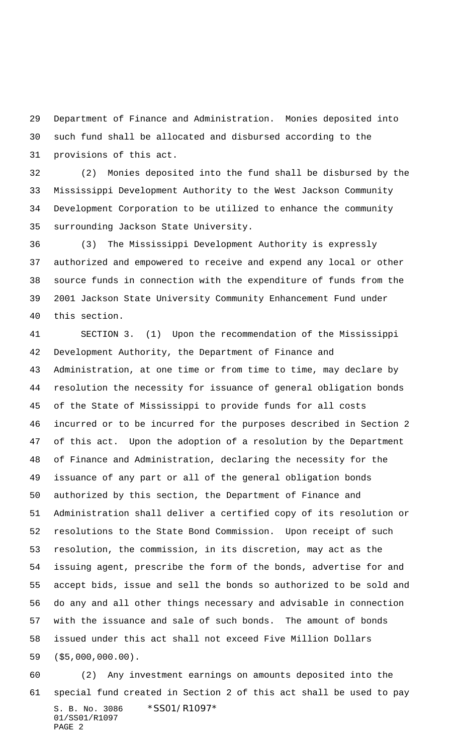Department of Finance and Administration. Monies deposited into such fund shall be allocated and disbursed according to the provisions of this act.

 (2) Monies deposited into the fund shall be disbursed by the Mississippi Development Authority to the West Jackson Community Development Corporation to be utilized to enhance the community surrounding Jackson State University.

 (3) The Mississippi Development Authority is expressly authorized and empowered to receive and expend any local or other source funds in connection with the expenditure of funds from the 2001 Jackson State University Community Enhancement Fund under this section.

 SECTION 3. (1) Upon the recommendation of the Mississippi Development Authority, the Department of Finance and Administration, at one time or from time to time, may declare by resolution the necessity for issuance of general obligation bonds of the State of Mississippi to provide funds for all costs incurred or to be incurred for the purposes described in Section 2 of this act. Upon the adoption of a resolution by the Department of Finance and Administration, declaring the necessity for the issuance of any part or all of the general obligation bonds authorized by this section, the Department of Finance and Administration shall deliver a certified copy of its resolution or resolutions to the State Bond Commission. Upon receipt of such resolution, the commission, in its discretion, may act as the issuing agent, prescribe the form of the bonds, advertise for and accept bids, issue and sell the bonds so authorized to be sold and do any and all other things necessary and advisable in connection with the issuance and sale of such bonds. The amount of bonds issued under this act shall not exceed Five Million Dollars (\$5,000,000.00).

S. B. No. 3086 \*SS01/R1097\* 01/SS01/R1097 PAGE 2 (2) Any investment earnings on amounts deposited into the special fund created in Section 2 of this act shall be used to pay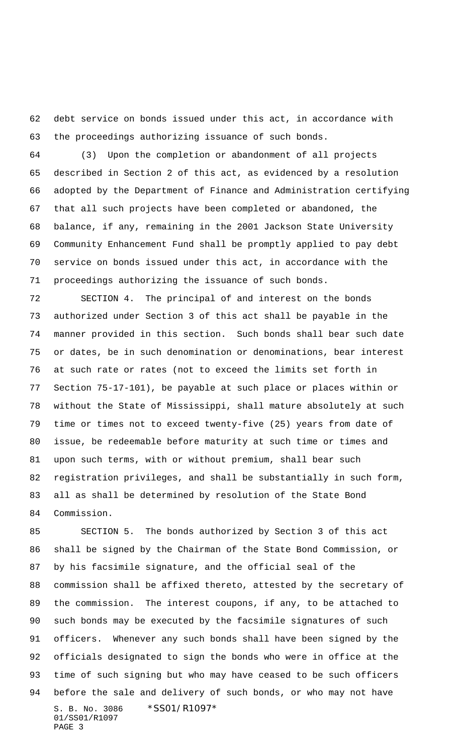debt service on bonds issued under this act, in accordance with the proceedings authorizing issuance of such bonds.

 (3) Upon the completion or abandonment of all projects described in Section 2 of this act, as evidenced by a resolution adopted by the Department of Finance and Administration certifying that all such projects have been completed or abandoned, the balance, if any, remaining in the 2001 Jackson State University Community Enhancement Fund shall be promptly applied to pay debt service on bonds issued under this act, in accordance with the proceedings authorizing the issuance of such bonds.

 SECTION 4. The principal of and interest on the bonds authorized under Section 3 of this act shall be payable in the manner provided in this section. Such bonds shall bear such date or dates, be in such denomination or denominations, bear interest at such rate or rates (not to exceed the limits set forth in Section 75-17-101), be payable at such place or places within or without the State of Mississippi, shall mature absolutely at such time or times not to exceed twenty-five (25) years from date of issue, be redeemable before maturity at such time or times and upon such terms, with or without premium, shall bear such registration privileges, and shall be substantially in such form, all as shall be determined by resolution of the State Bond Commission.

S. B. No. 3086 \*SS01/R1097\* 01/SS01/R1097 PAGE 3 SECTION 5. The bonds authorized by Section 3 of this act shall be signed by the Chairman of the State Bond Commission, or by his facsimile signature, and the official seal of the commission shall be affixed thereto, attested by the secretary of the commission. The interest coupons, if any, to be attached to such bonds may be executed by the facsimile signatures of such officers. Whenever any such bonds shall have been signed by the officials designated to sign the bonds who were in office at the time of such signing but who may have ceased to be such officers before the sale and delivery of such bonds, or who may not have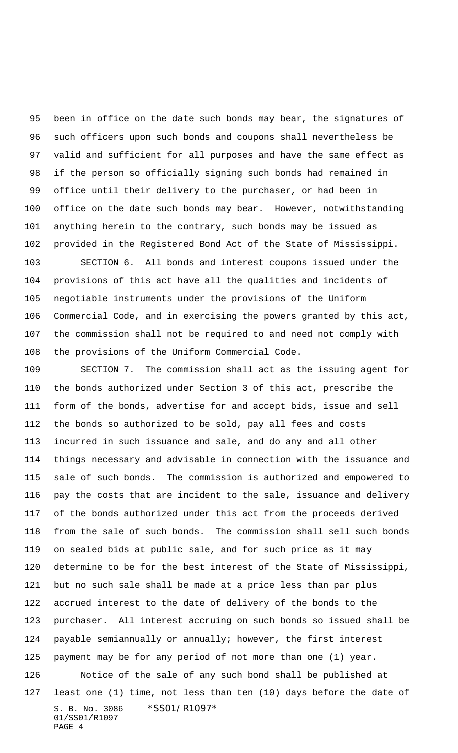been in office on the date such bonds may bear, the signatures of such officers upon such bonds and coupons shall nevertheless be valid and sufficient for all purposes and have the same effect as if the person so officially signing such bonds had remained in office until their delivery to the purchaser, or had been in office on the date such bonds may bear. However, notwithstanding anything herein to the contrary, such bonds may be issued as provided in the Registered Bond Act of the State of Mississippi.

 SECTION 6. All bonds and interest coupons issued under the provisions of this act have all the qualities and incidents of negotiable instruments under the provisions of the Uniform Commercial Code, and in exercising the powers granted by this act, the commission shall not be required to and need not comply with the provisions of the Uniform Commercial Code.

S. B. No. 3086 \*SS01/R1097\* SECTION 7. The commission shall act as the issuing agent for the bonds authorized under Section 3 of this act, prescribe the form of the bonds, advertise for and accept bids, issue and sell the bonds so authorized to be sold, pay all fees and costs incurred in such issuance and sale, and do any and all other things necessary and advisable in connection with the issuance and sale of such bonds. The commission is authorized and empowered to pay the costs that are incident to the sale, issuance and delivery of the bonds authorized under this act from the proceeds derived from the sale of such bonds. The commission shall sell such bonds on sealed bids at public sale, and for such price as it may determine to be for the best interest of the State of Mississippi, but no such sale shall be made at a price less than par plus accrued interest to the date of delivery of the bonds to the purchaser. All interest accruing on such bonds so issued shall be payable semiannually or annually; however, the first interest payment may be for any period of not more than one (1) year. Notice of the sale of any such bond shall be published at least one (1) time, not less than ten (10) days before the date of

01/SS01/R1097 PAGE 4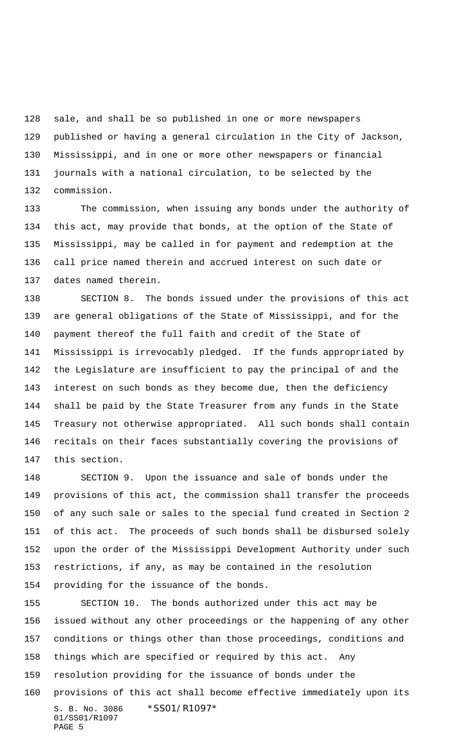sale, and shall be so published in one or more newspapers published or having a general circulation in the City of Jackson, Mississippi, and in one or more other newspapers or financial journals with a national circulation, to be selected by the commission.

 The commission, when issuing any bonds under the authority of this act, may provide that bonds, at the option of the State of Mississippi, may be called in for payment and redemption at the call price named therein and accrued interest on such date or dates named therein.

 SECTION 8. The bonds issued under the provisions of this act are general obligations of the State of Mississippi, and for the payment thereof the full faith and credit of the State of Mississippi is irrevocably pledged. If the funds appropriated by the Legislature are insufficient to pay the principal of and the interest on such bonds as they become due, then the deficiency shall be paid by the State Treasurer from any funds in the State Treasury not otherwise appropriated. All such bonds shall contain recitals on their faces substantially covering the provisions of this section.

 SECTION 9. Upon the issuance and sale of bonds under the provisions of this act, the commission shall transfer the proceeds of any such sale or sales to the special fund created in Section 2 of this act. The proceeds of such bonds shall be disbursed solely upon the order of the Mississippi Development Authority under such restrictions, if any, as may be contained in the resolution providing for the issuance of the bonds.

S. B. No. 3086 \*SS01/R1097\* 01/SS01/R1097 PAGE 5 SECTION 10. The bonds authorized under this act may be issued without any other proceedings or the happening of any other conditions or things other than those proceedings, conditions and things which are specified or required by this act. Any resolution providing for the issuance of bonds under the provisions of this act shall become effective immediately upon its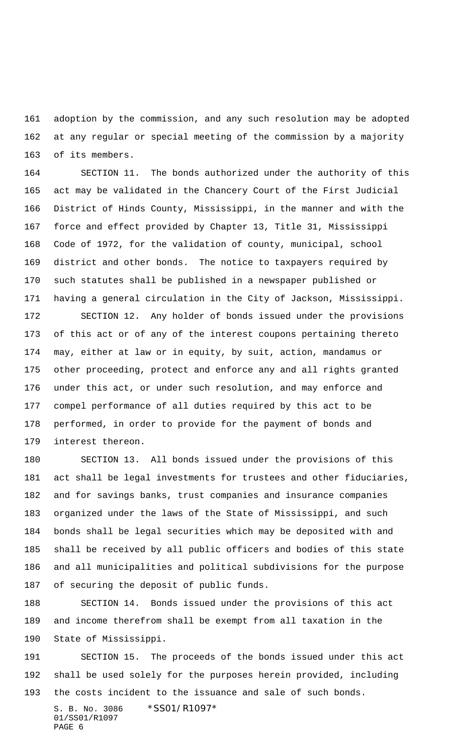adoption by the commission, and any such resolution may be adopted at any regular or special meeting of the commission by a majority of its members.

 SECTION 11. The bonds authorized under the authority of this act may be validated in the Chancery Court of the First Judicial District of Hinds County, Mississippi, in the manner and with the force and effect provided by Chapter 13, Title 31, Mississippi Code of 1972, for the validation of county, municipal, school district and other bonds. The notice to taxpayers required by such statutes shall be published in a newspaper published or having a general circulation in the City of Jackson, Mississippi.

 SECTION 12. Any holder of bonds issued under the provisions of this act or of any of the interest coupons pertaining thereto may, either at law or in equity, by suit, action, mandamus or other proceeding, protect and enforce any and all rights granted under this act, or under such resolution, and may enforce and compel performance of all duties required by this act to be performed, in order to provide for the payment of bonds and interest thereon.

 SECTION 13. All bonds issued under the provisions of this act shall be legal investments for trustees and other fiduciaries, and for savings banks, trust companies and insurance companies organized under the laws of the State of Mississippi, and such bonds shall be legal securities which may be deposited with and shall be received by all public officers and bodies of this state and all municipalities and political subdivisions for the purpose of securing the deposit of public funds.

 SECTION 14. Bonds issued under the provisions of this act and income therefrom shall be exempt from all taxation in the State of Mississippi.

 SECTION 15. The proceeds of the bonds issued under this act shall be used solely for the purposes herein provided, including the costs incident to the issuance and sale of such bonds.

S. B. No. 3086 \*SS01/R1097\* 01/SS01/R1097 PAGE 6